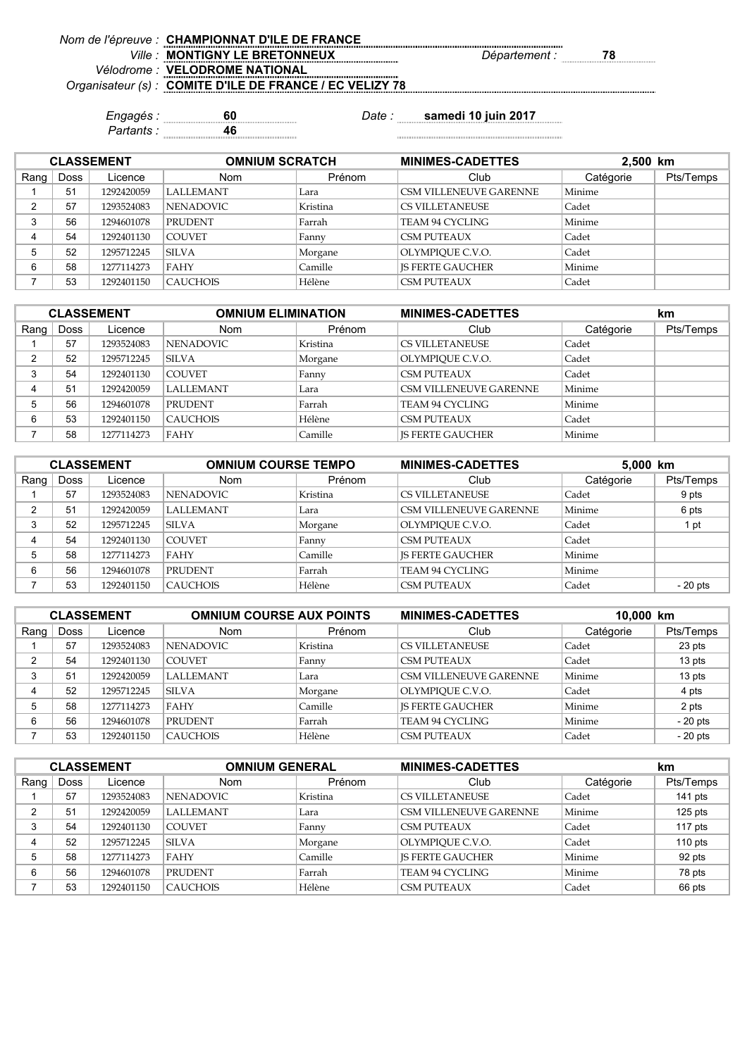| Nom de l'épreuve : CHAMPIONNAT D'ILE DE FRANCE           |                            |
|----------------------------------------------------------|----------------------------|
| <b>MONTIGNY LE BRETONNEUX</b>                            | <i>Département .</i><br>78 |
| Vélodrome : VELODROME NATIONAL                           |                            |
| Organisateur (s) : COMITE D'ILE DE FRANCE / EC VELIZY 78 |                            |
|                                                          |                            |

*Partants :* **46**

*Engagés :* **60** *Date :* **samedi 10 juin 2017**

| <b>CLASSEMENT</b> |      |            | <b>OMNIUM SCRATCH</b> |          | <b>MINIMES-CADETTES</b>       | 2,500 km  |           |
|-------------------|------|------------|-----------------------|----------|-------------------------------|-----------|-----------|
| Rang              | Doss | Licence    | <b>Nom</b>            | Prénom   | Club                          | Catégorie | Pts/Temps |
|                   | 51   | 1292420059 | <b>LALLEMANT</b>      | Lara     | <b>CSM VILLENEUVE GARENNE</b> | Minime    |           |
| ∩                 | 57   | 1293524083 | NENADOVIC.            | Kristina | <b>CS VILLETANEUSE</b>        | Cadet     |           |
| 3                 | 56   | 1294601078 | PRUDENT               | Farrah   | TEAM 94 CYCLING               | Minime    |           |
|                   | 54   | 1292401130 | <b>COUVET</b>         | Fanny    | <b>CSM PUTEAUX</b>            | Cadet     |           |
| 5                 | 52   | 1295712245 | <b>SILVA</b>          | Morgane  | OLYMPIOUE C.V.O.              | Cadet     |           |
| 6                 | 58   | 1277114273 | FAHY                  | Camille  | <b>IS FERTE GAUCHER</b>       | Minime    |           |
|                   | 53   | 1292401150 | <b>CAUCHOIS</b>       | Hélène   | <b>CSM PUTEAUX</b>            | Cadet     |           |

| <b>CLASSEMENT</b> |      |            | <b>OMNIUM ELIMINATION</b> |          | <b>MINIMES-CADETTES</b>       |           | km        |
|-------------------|------|------------|---------------------------|----------|-------------------------------|-----------|-----------|
| Rang              | Doss | Licence    | <b>Nom</b>                | Prénom   | Club                          | Catégorie | Pts/Temps |
|                   | 57   | 1293524083 | <b>NENADOVIC</b>          | Kristina | <b>CS VILLETANEUSE</b>        | Cadet     |           |
| $\sim$            | 52   | 1295712245 | <b>SILVA</b>              | Morgane  | OLYMPIOUE C.V.O.              | Cadet     |           |
| 3                 | 54   | 1292401130 | <b>COUVET</b>             | Fanny    | <b>CSM PUTEAUX</b>            | Cadet     |           |
| 4                 | 51   | 1292420059 | <b>LALLEMANT</b>          | Lara     | <b>CSM VILLENEUVE GARENNE</b> | Minime    |           |
| 5                 | 56   | 1294601078 | <b>PRUDENT</b>            | Farrah   | TEAM 94 CYCLING               | Minime    |           |
| 6                 | 53   | 1292401150 | <b>CAUCHOIS</b>           | Hélène   | <b>CSM PUTEAUX</b>            | Cadet     |           |
|                   | 58   | 1277114273 | <b>FAHY</b>               | Camille  | <b>IS FERTE GAUCHER</b>       | Minime    |           |

| <b>CLASSEMENT</b> |             |            | <b>OMNIUM COURSE TEMPO</b> |          | <b>MINIMES-CADETTES</b>       | 5,000 km  |           |
|-------------------|-------------|------------|----------------------------|----------|-------------------------------|-----------|-----------|
| Rang              | <b>Doss</b> | Licence    | <b>Nom</b>                 | Prénom   | Club                          | Catégorie | Pts/Temps |
|                   | 57          | 1293524083 | NENADOVIC                  | Kristina | <b>CS VILLETANEUSE</b>        | Cadet     | 9 pts     |
| ⌒                 | 51          | 1292420059 | <b>LALLEMANT</b>           | Lara     | <b>CSM VILLENEUVE GARENNE</b> | Minime    | 6 pts     |
|                   | 52          | 1295712245 | <b>SILVA</b>               | Morgane  | OLYMPIOUE C.V.O.              | Cadet     | 1 pt      |
|                   | 54          | 1292401130 | <b>COUVET</b>              | Fanny    | <b>CSM PUTEAUX</b>            | Cadet     |           |
|                   | 58          | 1277114273 | FAHY                       | Camille  | <b>IS FERTE GAUCHER</b>       | Minime    |           |
| 6                 | 56          | 1294601078 | <b>PRUDENT</b>             | Farrah   | TEAM 94 CYCLING               | Minime    |           |
|                   | 53          | 1292401150 | <b>CAUCHOIS</b>            | Hélène   | <b>CSM PUTEAUX</b>            | Cadet     | $-20$ pts |

| <b>CLASSEMENT</b> |             |            | <b>OMNIUM COURSE AUX POINTS</b> |          | <b>MINIMES-CADETTES</b>       | 10,000 km |           |
|-------------------|-------------|------------|---------------------------------|----------|-------------------------------|-----------|-----------|
| Rang              | <b>Doss</b> | Licence    | <b>Nom</b>                      | Prénom   | Club                          | Catégorie | Pts/Temps |
|                   | 57          | 1293524083 | <b>NENADOVIC</b>                | Kristina | <b>CS VILLETANEUSE</b>        | Cadet     | 23 pts    |
|                   | 54          | 1292401130 | <b>COUVET</b>                   | Fanny    | <b>CSM PUTEAUX</b>            | Cadet     | 13 pts    |
|                   | 51          | 1292420059 | <b>LALLEMANT</b>                | Lara     | <b>CSM VILLENEUVE GARENNE</b> | Minime    | 13 pts    |
|                   | 52          | 1295712245 | <b>SILVA</b>                    | Morgane  | OLYMPIOUE C.V.O.              | Cadet     | 4 pts     |
|                   | 58          | 1277114273 | FAHY                            | Camille  | <b>IS FERTE GAUCHER</b>       | Minime    | 2 pts     |
| 6                 | 56          | 1294601078 | <b>PRUDENT</b>                  | Farrah   | TEAM 94 CYCLING               | Minime    | $-20$ pts |
|                   | 53          | 1292401150 | <b>CAUCHOIS</b>                 | Hélène   | <b>CSM PUTEAUX</b>            | Cadet     | $-20$ pts |

| <b>CLASSEMENT</b> |             |            | <b>OMNIUM GENERAL</b> |          | <b>MINIMES-CADETTES</b> |           | km        |  |
|-------------------|-------------|------------|-----------------------|----------|-------------------------|-----------|-----------|--|
| Rang              | <b>Doss</b> | Licence    | <b>Nom</b>            | Prénom   | Club                    | Catégorie | Pts/Temps |  |
|                   | 57          | 1293524083 | <b>NENADOVIC</b>      | Kristina | <b>CS VILLETANEUSE</b>  | Cadet     | 141 pts   |  |
| ົ                 | 51          | 1292420059 | <b>LALLEMANT</b>      | Lara     | CSM VILLENEUVE GARENNE  | Minime    | $125$ pts |  |
|                   | 54          | 1292401130 | <b>COUVET</b>         | Fanny    | CSM PUTEAUX             | Cadet     | 117 pts   |  |
|                   | 52          | 1295712245 | SILVA                 | Morgane  | OLYMPIOUE C.V.O.        | Cadet     | 110 $pts$ |  |
|                   | 58          | 1277114273 | <b>FAHY</b>           | Camille  | <b>IS FERTE GAUCHER</b> | Minime    | 92 pts    |  |
| 6                 | 56          | 1294601078 | <b>PRUDENT</b>        | Farrah   | TEAM 94 CYCLING         | Minime    | 78 pts    |  |
|                   | 53          | 1292401150 | <b>CAUCHOIS</b>       | Hélène   | <b>CSM PUTEAUX</b>      | Cadet     | 66 pts    |  |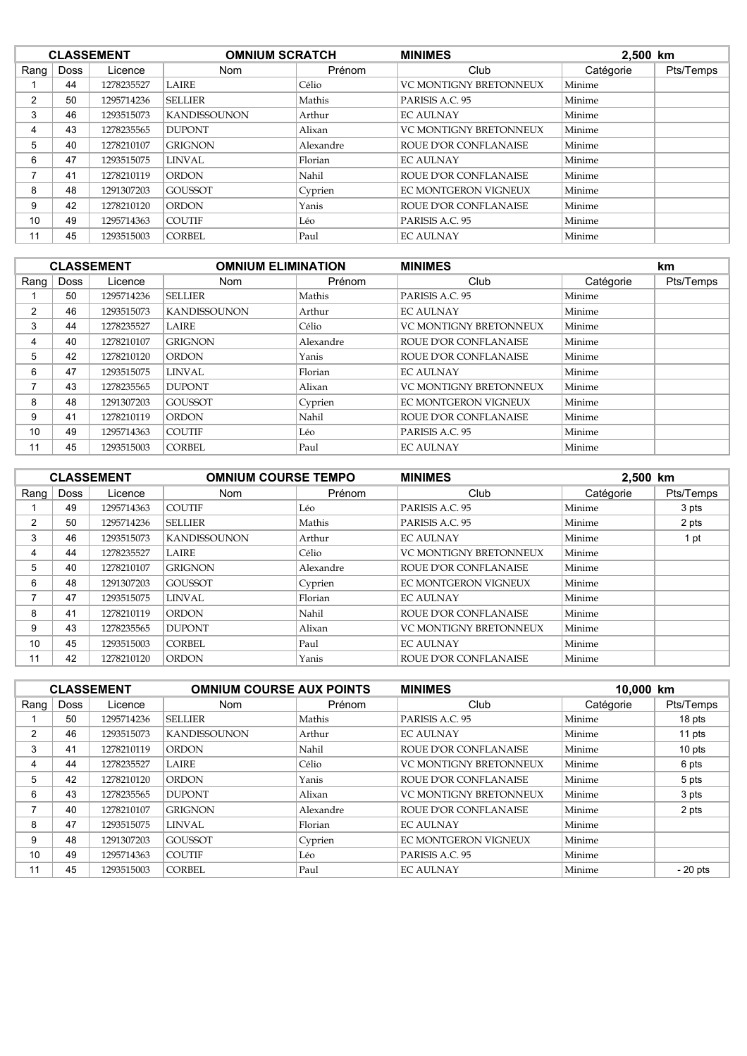| <b>CLASSEMENT</b> |             |            | <b>OMNIUM SCRATCH</b> |           | <b>MINIMES</b>               | 2,500 km  |           |
|-------------------|-------------|------------|-----------------------|-----------|------------------------------|-----------|-----------|
| Rang              | <b>Doss</b> | Licence    | <b>Nom</b>            | Prénom    | Club                         | Catégorie | Pts/Temps |
|                   | 44          | 1278235527 | <b>LAIRE</b>          | Célio     | VC MONTIGNY BRETONNEUX       | Minime    |           |
| 2                 | 50          | 1295714236 | <b>SELLIER</b>        | Mathis    | PARISIS A.C. 95              | Minime    |           |
| 3                 | 46          | 1293515073 | <b>KANDISSOUNON</b>   | Arthur    | <b>EC AULNAY</b>             | Minime    |           |
| 4                 | 43          | 1278235565 | <b>DUPONT</b>         | Alixan    | VC MONTIGNY BRETONNEUX       | Minime    |           |
| 5                 | 40          | 1278210107 | <b>GRIGNON</b>        | Alexandre | <b>ROUE D'OR CONFLANAISE</b> | Minime    |           |
| 6                 | 47          | 1293515075 | LINVAL                | Florian   | <b>EC AULNAY</b>             | Minime    |           |
|                   | 41          | 1278210119 | <b>ORDON</b>          | Nahil     | <b>ROUE D'OR CONFLANAISE</b> | Minime    |           |
| 8                 | 48          | 1291307203 | <b>GOUSSOT</b>        | Cyprien   | <b>EC MONTGERON VIGNEUX</b>  | Minime    |           |
| 9                 | 42          | 1278210120 | <b>ORDON</b>          | Yanis     | <b>ROUE D'OR CONFLANAISE</b> | Minime    |           |
| 10                | 49          | 1295714363 | <b>COUTIF</b>         | Léo       | PARISIS A.C. 95              | Minime    |           |
| 11                | 45          | 1293515003 | <b>CORBEL</b>         | Paul      | <b>EC AULNAY</b>             | Minime    |           |

|                |      | <b>CLASSEMENT</b> | <b>OMNIUM ELIMINATION</b> |           | <b>MINIMES</b>               |           | km.       |
|----------------|------|-------------------|---------------------------|-----------|------------------------------|-----------|-----------|
| Rang           | Doss | Licence           | <b>Nom</b>                | Prénom    | Club                         | Catégorie | Pts/Temps |
|                | 50   | 1295714236        | <b>SELLIER</b>            | Mathis    | PARISIS A.C. 95              | Minime    |           |
| $\overline{2}$ | 46   | 1293515073        | <b>KANDISSOUNON</b>       | Arthur    | <b>EC AULNAY</b>             | Minime    |           |
| 3              | 44   | 1278235527        | <b>LAIRE</b>              | Célio     | VC MONTIGNY BRETONNEUX       | Minime    |           |
| 4              | 40   | 1278210107        | <b>GRIGNON</b>            | Alexandre | <b>ROUE D'OR CONFLANAISE</b> | Minime    |           |
| 5              | 42   | 1278210120        | <b>ORDON</b>              | Yanis     | <b>ROUE D'OR CONFLANAISE</b> | Minime    |           |
| 6              | 47   | 1293515075        | LINVAL                    | Florian   | <b>EC AULNAY</b>             | Minime    |           |
|                | 43   | 1278235565        | <b>DUPONT</b>             | Alixan    | VC MONTIGNY BRETONNEUX       | Minime    |           |
| 8              | 48   | 1291307203        | <b>GOUSSOT</b>            | Cyprien   | <b>EC MONTGERON VIGNEUX</b>  | Minime    |           |
| 9              | 41   | 1278210119        | <b>ORDON</b>              | Nahil     | <b>ROUE D'OR CONFLANAISE</b> | Minime    |           |
| 10             | 49   | 1295714363        | <b>COUTIF</b>             | Léo       | PARISIS A.C. 95              | Minime    |           |
| 11             | 45   | 1293515003        | <b>CORBEL</b>             | Paul      | <b>EC AULNAY</b>             | Minime    |           |

| <b>CLASSEMENT</b> |             |            | <b>OMNIUM COURSE TEMPO</b> |           | <b>MINIMES</b>              | 2,500 km  |           |
|-------------------|-------------|------------|----------------------------|-----------|-----------------------------|-----------|-----------|
| Rang              | <b>Doss</b> | Licence    | Nom                        | Prénom    | Club                        | Catégorie | Pts/Temps |
|                   | 49          | 1295714363 | <b>COUTIF</b>              | Léo       | PARISIS A.C. 95             | Minime    | 3 pts     |
| 2                 | 50          | 1295714236 | <b>SELLIER</b>             | Mathis    | PARISIS A.C. 95             | Minime    | 2 pts     |
| 3                 | 46          | 1293515073 | <b>KANDISSOUNON</b>        | Arthur    | <b>EC AULNAY</b>            | Minime    | 1 pt      |
| 4                 | 44          | 1278235527 | <b>LAIRE</b>               | Célio     | VC MONTIGNY BRETONNEUX      | Minime    |           |
| 5                 | 40          | 1278210107 | <b>GRIGNON</b>             | Alexandre | ROUE D'OR CONFLANAISE       | Minime    |           |
| 6                 | 48          | 1291307203 | <b>GOUSSOT</b>             | Cyprien   | <b>EC MONTGERON VIGNEUX</b> | Minime    |           |
|                   | 47          | 1293515075 | LINVAL                     | Florian   | <b>EC AULNAY</b>            | Minime    |           |
| 8                 | 41          | 1278210119 | <b>ORDON</b>               | Nahil     | ROUE D'OR CONFLANAISE       | Minime    |           |
| 9                 | 43          | 1278235565 | <b>DUPONT</b>              | Alixan    | VC MONTIGNY BRETONNEUX      | Minime    |           |
| 10                | 45          | 1293515003 | CORBEL                     | Paul      | <b>EC AULNAY</b>            | Minime    |           |
| 11                | 42          | 1278210120 | <b>ORDON</b>               | Yanis     | ROUE D'OR CONFLANAISE       | Minime    |           |

| <b>CLASSEMENT</b> |             |            | <b>OMNIUM COURSE AUX POINTS</b> |           | <b>MINIMES</b>               | 10,000 km |           |
|-------------------|-------------|------------|---------------------------------|-----------|------------------------------|-----------|-----------|
| Rang              | <b>Doss</b> | Licence    | <b>Nom</b>                      | Prénom    | Club                         | Catégorie | Pts/Temps |
|                   | 50          | 1295714236 | <b>SELLIER</b>                  | Mathis    | PARISIS A.C. 95              | Minime    | 18 pts    |
| 2                 | 46          | 1293515073 | <b>KANDISSOUNON</b>             | Arthur    | <b>EC AULNAY</b>             | Minime    | 11 pts    |
| 3                 | 41          | 1278210119 | <b>ORDON</b>                    | Nahil     | <b>ROUE D'OR CONFLANAISE</b> | Minime    | 10 pts    |
| 4                 | 44          | 1278235527 | <b>LAIRE</b>                    | Célio     | VC MONTIGNY BRETONNEUX       | Minime    | 6 pts     |
| 5                 | 42          | 1278210120 | <b>ORDON</b>                    | Yanis     | ROUE D'OR CONFLANAISE        | Minime    | 5 pts     |
| 6                 | 43          | 1278235565 | <b>DUPONT</b>                   | Alixan    | VC MONTIGNY BRETONNEUX       | Minime    | 3 pts     |
|                   | 40          | 1278210107 | <b>GRIGNON</b>                  | Alexandre | <b>ROUE D'OR CONFLANAISE</b> | Minime    | 2 pts     |
| 8                 | 47          | 1293515075 | <b>LINVAL</b>                   | Florian   | <b>EC AULNAY</b>             | Minime    |           |
| 9                 | 48          | 1291307203 | <b>GOUSSOT</b>                  | Cyprien   | <b>EC MONTGERON VIGNEUX</b>  | Minime    |           |
| 10                | 49          | 1295714363 | <b>COUTIF</b>                   | Léo       | PARISIS A.C. 95              | Minime    |           |
| 11                | 45          | 1293515003 | <b>CORBEL</b>                   | Paul      | <b>EC AULNAY</b>             | Minime    | $-20$ pts |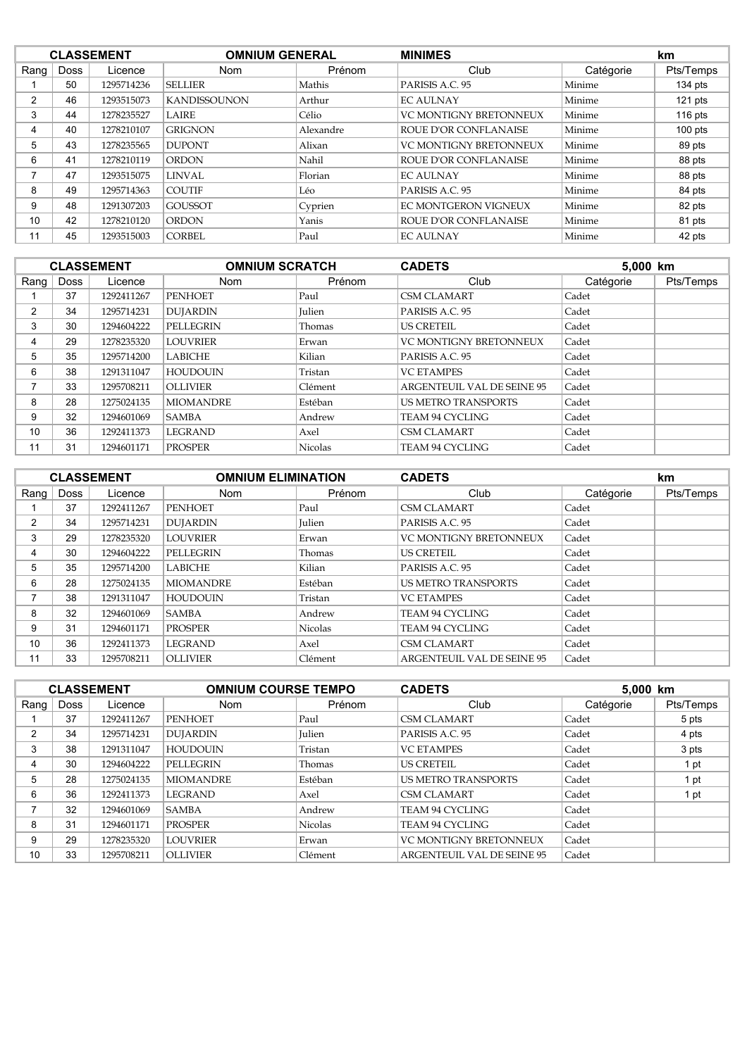|      |             | <b>CLASSEMENT</b> | <b>OMNIUM GENERAL</b> |           | <b>MINIMES</b>                |           | km        |
|------|-------------|-------------------|-----------------------|-----------|-------------------------------|-----------|-----------|
| Rang | <b>Doss</b> | Licence           | <b>Nom</b>            | Prénom    | Club                          | Catégorie | Pts/Temps |
|      | 50          | 1295714236        | <b>SELLIER</b>        | Mathis    | PARISIS A.C. 95               | Minime    | $134$ pts |
| 2    | 46          | 1293515073        | <b>KANDISSOUNON</b>   | Arthur    | <b>EC AULNAY</b>              | Minime    | $121$ pts |
| 3    | 44          | 1278235527        | LAIRE                 | Célio     | <b>VC MONTIGNY BRETONNEUX</b> | Minime    | $116$ pts |
| 4    | 40          | 1278210107        | <b>GRIGNON</b>        | Alexandre | <b>ROUE D'OR CONFLANAISE</b>  | Minime    | $100$ pts |
| 5    | 43          | 1278235565        | <b>DUPONT</b>         | Alixan    | <b>VC MONTIGNY BRETONNEUX</b> | Minime    | 89 pts    |
| 6    | 41          | 1278210119        | <b>ORDON</b>          | Nahil     | ROUE D'OR CONFLANAISE         | Minime    | 88 pts    |
|      | 47          | 1293515075        | <b>LINVAL</b>         | Florian   | <b>EC AULNAY</b>              | Minime    | 88 pts    |
| 8    | 49          | 1295714363        | <b>COUTIF</b>         | Léo       | PARISIS A.C. 95               | Minime    | 84 pts    |
| 9    | 48          | 1291307203        | <b>GOUSSOT</b>        | Cyprien   | EC MONTGERON VIGNEUX          | Minime    | 82 pts    |
| 10   | 42          | 1278210120        | <b>ORDON</b>          | Yanis     | <b>ROUE D'OR CONFLANAISE</b>  | Minime    | 81 pts    |
| 11   | 45          | 1293515003        | <b>CORBEL</b>         | Paul      | <b>EC AULNAY</b>              | Minime    | 42 pts    |

| <b>CLASSEMENT</b> |      |            | <b>OMNIUM SCRATCH</b> |                | <b>CADETS</b>              | 5,000 km  |           |
|-------------------|------|------------|-----------------------|----------------|----------------------------|-----------|-----------|
| Rang              | Doss | Licence    | <b>Nom</b>            | Prénom         | Club                       | Catégorie | Pts/Temps |
|                   | 37   | 1292411267 | <b>PENHOET</b>        | Paul           | <b>CSM CLAMART</b>         | Cadet     |           |
| $\overline{2}$    | 34   | 1295714231 | <b>DUJARDIN</b>       | <b>Julien</b>  | PARISIS A.C. 95            | Cadet     |           |
| 3                 | 30   | 1294604222 | PELLEGRIN             | Thomas         | <b>US CRETEIL</b>          | Cadet     |           |
| 4                 | 29   | 1278235320 | <b>LOUVRIER</b>       | Erwan          | VC MONTIGNY BRETONNEUX     | Cadet     |           |
| 5                 | 35   | 1295714200 | <b>LABICHE</b>        | Kilian         | PARISIS A.C. 95            | Cadet     |           |
| 6                 | 38   | 1291311047 | <b>HOUDOUIN</b>       | Tristan        | <b>VC ETAMPES</b>          | Cadet     |           |
|                   | 33   | 1295708211 | <b>OLLIVIER</b>       | Clément        | ARGENTEUIL VAL DE SEINE 95 | Cadet     |           |
| 8                 | 28   | 1275024135 | <b>MIOMANDRE</b>      | Estéban        | <b>US METRO TRANSPORTS</b> | Cadet     |           |
| 9                 | 32   | 1294601069 | <b>SAMBA</b>          | Andrew         | TEAM 94 CYCLING            | Cadet     |           |
| 10                | 36   | 1292411373 | <b>LEGRAND</b>        | Axel           | <b>CSM CLAMART</b>         | Cadet     |           |
| 11                | 31   | 1294601171 | <b>PROSPER</b>        | <b>Nicolas</b> | <b>TEAM 94 CYCLING</b>     | Cadet     |           |

|      |             | <b>CLASSEMENT</b> | <b>OMNIUM ELIMINATION</b> |                | <b>CADETS</b>              |           | <b>km</b> |
|------|-------------|-------------------|---------------------------|----------------|----------------------------|-----------|-----------|
| Rang | <b>Doss</b> | Licence           | <b>Nom</b>                | Prénom         | Club                       | Catégorie | Pts/Temps |
|      | 37          | 1292411267        | <b>PENHOET</b>            | Paul           | <b>CSM CLAMART</b>         | Cadet     |           |
| 2    | 34          | 1295714231        | <b>DUJARDIN</b>           | <b>Julien</b>  | PARISIS A.C. 95            | Cadet     |           |
| 3    | 29          | 1278235320        | <b>LOUVRIER</b>           | Erwan          | VC MONTIGNY BRETONNEUX     | Cadet     |           |
| 4    | 30          | 1294604222        | PELLEGRIN                 | Thomas         | <b>US CRETEIL</b>          | Cadet     |           |
| 5    | 35          | 1295714200        | <b>LABICHE</b>            | Kilian         | PARISIS A.C. 95            | Cadet     |           |
| 6    | 28          | 1275024135        | <b>MIOMANDRE</b>          | Estéban        | <b>US METRO TRANSPORTS</b> | Cadet     |           |
| 7    | 38          | 1291311047        | <b>HOUDOUIN</b>           | Tristan        | <b>VC ETAMPES</b>          | Cadet     |           |
| 8    | 32          | 1294601069        | <b>SAMBA</b>              | Andrew         | <b>TEAM 94 CYCLING</b>     | Cadet     |           |
| 9    | 31          | 1294601171        | <b>PROSPER</b>            | <b>Nicolas</b> | TEAM 94 CYCLING            | Cadet     |           |
| 10   | 36          | 1292411373        | <b>LEGRAND</b>            | Axel           | <b>CSM CLAMART</b>         | Cadet     |           |
| 11   | 33          | 1295708211        | <b>OLLIVIER</b>           | Clément        | ARGENTEUIL VAL DE SEINE 95 | Cadet     |           |

| <b>CLASSEMENT</b> |             |            | <b>OMNIUM COURSE TEMPO</b> |                | <b>CADETS</b>              | 5,000 km  |           |
|-------------------|-------------|------------|----------------------------|----------------|----------------------------|-----------|-----------|
| Rang $ $          | <b>Doss</b> | Licence    | <b>Nom</b>                 | Prénom         | Club                       | Catégorie | Pts/Temps |
|                   | 37          | 1292411267 | <b>PENHOET</b>             | Paul           | <b>CSM CLAMART</b>         | Cadet     | 5 pts     |
| 2                 | 34          | 1295714231 | <b>DUJARDIN</b>            | <b>Iulien</b>  | PARISIS A.C. 95            | Cadet     | 4 pts     |
| 3                 | 38          | 1291311047 | <b>HOUDOUIN</b>            | Tristan        | <b>VC ETAMPES</b>          | Cadet     | 3 pts     |
| 4                 | 30          | 1294604222 | PELLEGRIN                  | Thomas         | <b>US CRETEIL</b>          | Cadet     | 1 pt      |
| 5                 | 28          | 1275024135 | <b>MIOMANDRE</b>           | Estéban        | <b>US METRO TRANSPORTS</b> | Cadet     | 1 pt      |
| 6                 | 36          | 1292411373 | <b>LEGRAND</b>             | Axel           | CSM CLAMART                | Cadet     | 1 pt      |
|                   | 32          | 1294601069 | <b>SAMBA</b>               | Andrew         | TEAM 94 CYCLING            | Cadet     |           |
| 8                 | 31          | 1294601171 | <b>PROSPER</b>             | <b>Nicolas</b> | TEAM 94 CYCLING            | Cadet     |           |
| 9                 | 29          | 1278235320 | <b>LOUVRIER</b>            | Erwan          | VC MONTIGNY BRETONNEUX     | Cadet     |           |
| 10                | 33          | 1295708211 | <b>OLLIVIER</b>            | Clément        | ARGENTEUIL VAL DE SEINE 95 | Cadet     |           |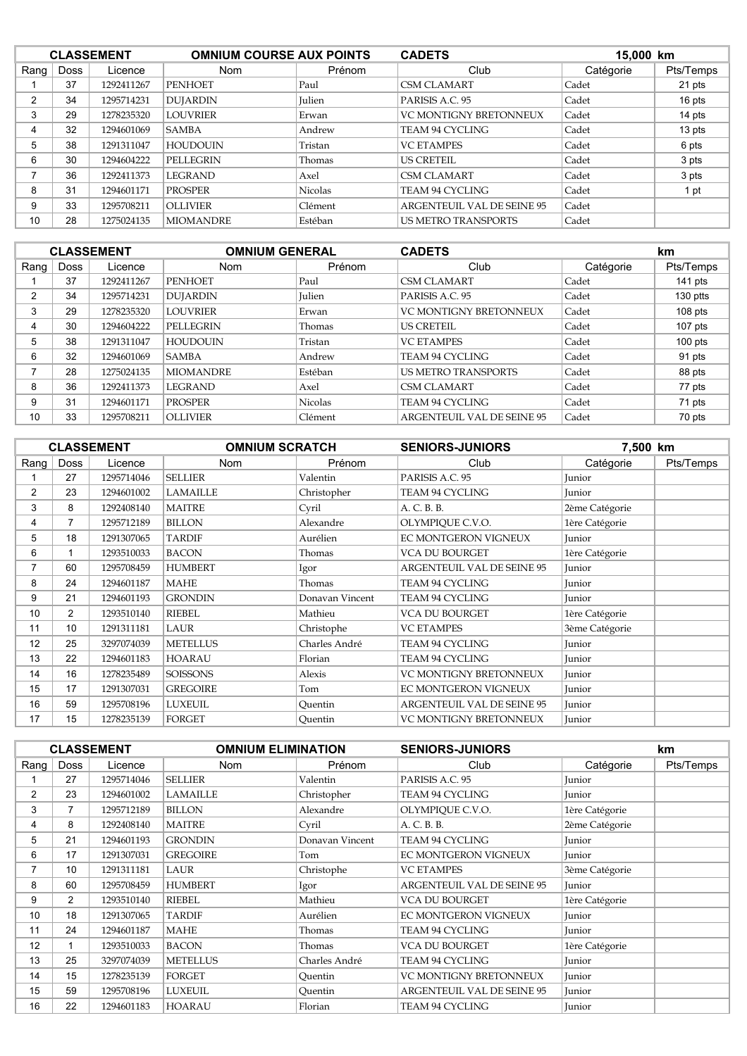|      |             | <b>CLASSEMENT</b> | <b>OMNIUM COURSE AUX POINTS</b> |                | <b>CADETS</b>              | 15,000 km |           |
|------|-------------|-------------------|---------------------------------|----------------|----------------------------|-----------|-----------|
| Rang | <b>Doss</b> | Licence           | <b>Nom</b>                      | Prénom         | Club                       | Catégorie | Pts/Temps |
|      | 37          | 1292411267        | <b>PENHOET</b>                  | Paul           | <b>CSM CLAMART</b>         | Cadet     | 21 pts    |
| 2    | 34          | 1295714231        | <b>DUIARDIN</b>                 | <b>Julien</b>  | PARISIS A.C. 95            | Cadet     | 16 pts    |
| 3    | 29          | 1278235320        | <b>LOUVRIER</b>                 | Erwan          | VC MONTIGNY BRETONNEUX     | Cadet     | 14 pts    |
| 4    | 32          | 1294601069        | <b>SAMBA</b>                    | Andrew         | TEAM 94 CYCLING            | Cadet     | 13 pts    |
| 5    | 38          | 1291311047        | <b>HOUDOUIN</b>                 | Tristan        | <b>VC ETAMPES</b>          | Cadet     | 6 pts     |
| 6    | 30          | 1294604222        | PELLEGRIN                       | Thomas         | <b>US CRETEIL</b>          | Cadet     | 3 pts     |
|      | 36          | 1292411373        | <b>LEGRAND</b>                  | Axel           | <b>CSM CLAMART</b>         | Cadet     | 3 pts     |
| 8    | 31          | 1294601171        | <b>PROSPER</b>                  | <b>Nicolas</b> | TEAM 94 CYCLING            | Cadet     | 1 pt      |
| 9    | 33          | 1295708211        | <b>OLLIVIER</b>                 | Clément        | ARGENTEUIL VAL DE SEINE 95 | Cadet     |           |
| 10   | 28          | 1275024135        | <b>MIOMANDRE</b>                | Estéban        | <b>US METRO TRANSPORTS</b> | Cadet     |           |

|                |             | <b>CLASSEMENT</b> | <b>OMNIUM GENERAL</b> |                | <b>CADETS</b>                 |           | km        |
|----------------|-------------|-------------------|-----------------------|----------------|-------------------------------|-----------|-----------|
| Rang           | <b>Doss</b> | Licence           | <b>Nom</b>            | Prénom         | Club                          | Catégorie | Pts/Temps |
|                | 37          | 1292411267        | <b>PENHOET</b>        | Paul           | <b>CSM CLAMART</b>            | Cadet     | 141 pts   |
| $\overline{2}$ | 34          | 1295714231        | <b>DUJARDIN</b>       | <b>Julien</b>  | PARISIS A.C. 95               | Cadet     | 130 ptts  |
| 3              | 29          | 1278235320        | <b>LOUVRIER</b>       | Erwan          | <b>VC MONTIGNY BRETONNEUX</b> | Cadet     | $108$ pts |
| 4              | 30          | 1294604222        | <b>PELLEGRIN</b>      | Thomas         | <b>US CRETEIL</b>             | Cadet     | $107$ pts |
| 5              | 38          | 1291311047        | <b>HOUDOUIN</b>       | Tristan        | <b>VC ETAMPES</b>             | Cadet     | $100$ pts |
| 6              | 32          | 1294601069        | SAMBA                 | Andrew         | <b>TEAM 94 CYCLING</b>        | Cadet     | 91 pts    |
| ⇁              | 28          | 1275024135        | <b>MIOMANDRE</b>      | Estéban        | <b>US METRO TRANSPORTS</b>    | Cadet     | 88 pts    |
| 8              | 36          | 1292411373        | <b>LEGRAND</b>        | Axel           | <b>CSM CLAMART</b>            | Cadet     | 77 pts    |
| 9              | 31          | 1294601171        | <b>PROSPER</b>        | <b>Nicolas</b> | <b>TEAM 94 CYCLING</b>        | Cadet     | 71 pts    |
| 10             | 33          | 1295708211        | <b>OLLIVIER</b>       | Clément        | ARGENTEUIL VAL DE SEINE 95    | Cadet     | 70 pts    |

|                |                | <b>CLASSEMENT</b> | <b>OMNIUM SCRATCH</b> |                 | <b>SENIORS-JUNIORS</b>     | 7,500 km       |           |
|----------------|----------------|-------------------|-----------------------|-----------------|----------------------------|----------------|-----------|
| Rang           | <b>Doss</b>    | Licence           | <b>Nom</b>            | Prénom          | Club                       | Catégorie      | Pts/Temps |
|                | 27             | 1295714046        | <b>SELLIER</b>        | Valentin        | PARISIS A.C. 95            | Junior         |           |
| $\overline{2}$ | 23             | 1294601002        | <b>LAMAILLE</b>       | Christopher     | TEAM 94 CYCLING            | Junior         |           |
| 3              | 8              | 1292408140        | <b>MAITRE</b>         | Cyril           | A. C. B. B.                | 2ème Catégorie |           |
| 4              |                | 1295712189        | <b>BILLON</b>         | Alexandre       | OLYMPIQUE C.V.O.           | 1ère Catégorie |           |
| 5              | 18             | 1291307065        | <b>TARDIF</b>         | Aurélien        | EC MONTGERON VIGNEUX       | Junior         |           |
| 6              |                | 1293510033        | <b>BACON</b>          | Thomas          | <b>VCA DU BOURGET</b>      | 1ère Catégorie |           |
| 7              | 60             | 1295708459        | <b>HUMBERT</b>        | Igor            | ARGENTEUIL VAL DE SEINE 95 | Junior         |           |
| 8              | 24             | 1294601187        | MAHE                  | Thomas          | TEAM 94 CYCLING            | Junior         |           |
| 9              | 21             | 1294601193        | <b>GRONDIN</b>        | Donavan Vincent | TEAM 94 CYCLING            | Junior         |           |
| 10             | $\overline{2}$ | 1293510140        | <b>RIEBEL</b>         | Mathieu         | VCA DU BOURGET             | 1ère Catégorie |           |
| 11             | 10             | 1291311181        | LAUR                  | Christophe      | <b>VC ETAMPES</b>          | 3ème Catégorie |           |
| 12             | 25             | 3297074039        | <b>METELLUS</b>       | Charles André   | TEAM 94 CYCLING            | Junior         |           |
| 13             | 22             | 1294601183        | <b>HOARAU</b>         | Florian         | TEAM 94 CYCLING            | Junior         |           |
| 14             | 16             | 1278235489        | <b>SOISSONS</b>       | Alexis          | VC MONTIGNY BRETONNEUX     | Junior         |           |
| 15             | 17             | 1291307031        | <b>GREGOIRE</b>       | Tom             | EC MONTGERON VIGNEUX       | Junior         |           |
| 16             | 59             | 1295708196        | <b>LUXEUIL</b>        | Quentin         | ARGENTEUIL VAL DE SEINE 95 | Junior         |           |
| 17             | 15             | 1278235139        | <b>FORGET</b>         | Ouentin         | VC MONTIGNY BRETONNEUX     | Junior         |           |

|                |                | <b>CLASSEMENT</b> | <b>OMNIUM ELIMINATION</b> |                 | <b>SENIORS-JUNIORS</b>            |                | km.       |
|----------------|----------------|-------------------|---------------------------|-----------------|-----------------------------------|----------------|-----------|
| Rang           | Doss           | Licence           | <b>Nom</b>                | Prénom          | Club                              | Catégorie      | Pts/Temps |
|                | 27             | 1295714046        | <b>SELLIER</b>            | Valentin        | PARISIS A.C. 95                   | Junior         |           |
| $\overline{2}$ | 23             | 1294601002        | <b>LAMAILLE</b>           | Christopher     | TEAM 94 CYCLING                   | Junior         |           |
| 3              | $\overline{7}$ | 1295712189        | <b>BILLON</b>             | Alexandre       | OLYMPIQUE C.V.O.                  | 1ère Catégorie |           |
| 4              | 8              | 1292408140        | <b>MAITRE</b>             | Cyril           | A. C. B. B.                       | 2ème Catégorie |           |
| 5              | 21             | 1294601193        | <b>GRONDIN</b>            | Donavan Vincent | TEAM 94 CYCLING                   | Junior         |           |
| 6              | 17             | 1291307031        | <b>GREGOIRE</b>           | Tom             | EC MONTGERON VIGNEUX              | Junior         |           |
| $\overline{7}$ | 10             | 1291311181        | LAUR                      | Christophe      | <b>VC ETAMPES</b>                 | 3ème Catégorie |           |
| 8              | 60             | 1295708459        | <b>HUMBERT</b>            | Igor            | <b>ARGENTEUIL VAL DE SEINE 95</b> | Junior         |           |
| 9              | $\overline{2}$ | 1293510140        | <b>RIEBEL</b>             | Mathieu         | <b>VCA DU BOURGET</b>             | 1ère Catégorie |           |
| 10             | 18             | 1291307065        | <b>TARDIF</b>             | Aurélien        | EC MONTGERON VIGNEUX              | Junior         |           |
| 11             | 24             | 1294601187        | <b>MAHE</b>               | Thomas          | <b>TEAM 94 CYCLING</b>            | Junior         |           |
| 12             |                | 1293510033        | <b>BACON</b>              | Thomas          | VCA DU BOURGET                    | 1ère Catégorie |           |
| 13             | 25             | 3297074039        | <b>METELLUS</b>           | Charles André   | TEAM 94 CYCLING                   | Junior         |           |
| 14             | 15             | 1278235139        | <b>FORGET</b>             | Ouentin         | VC MONTIGNY BRETONNEUX            | Junior         |           |
| 15             | 59             | 1295708196        | <b>LUXEUIL</b>            | Ouentin         | ARGENTEUIL VAL DE SEINE 95        | Junior         |           |
| 16             | 22             | 1294601183        | <b>HOARAU</b>             | Florian         | TEAM 94 CYCLING                   | Junior         |           |